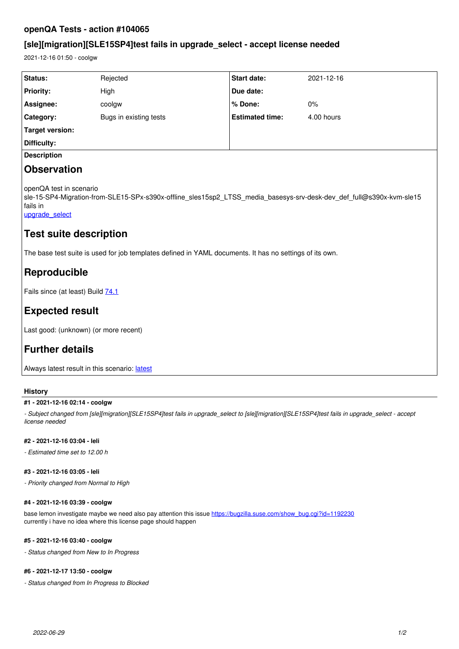## **openQA Tests - action #104065**

# **[sle][migration][SLE15SP4]test fails in upgrade\_select - accept license needed**

2021-12-16 01:50 - coolgw

| Status:                                                                                                                                                                       | Rejected               | Start date:            | 2021-12-16 |
|-------------------------------------------------------------------------------------------------------------------------------------------------------------------------------|------------------------|------------------------|------------|
| <b>Priority:</b>                                                                                                                                                              | High                   | Due date:              |            |
| Assignee:                                                                                                                                                                     | coolgw                 | % Done:                | $0\%$      |
| Category:                                                                                                                                                                     | Bugs in existing tests | <b>Estimated time:</b> | 4.00 hours |
| <b>Target version:</b>                                                                                                                                                        |                        |                        |            |
| Difficulty:                                                                                                                                                                   |                        |                        |            |
| <b>Description</b>                                                                                                                                                            |                        |                        |            |
| <b>Observation</b>                                                                                                                                                            |                        |                        |            |
| openQA test in scenario<br>sle-15-SP4-Migration-from-SLE15-SPx-s390x-offline_sles15sp2_LTSS_media_basesys-srv-desk-dev_def_full@s390x-kvm-sle15<br>fails in<br>upgrade select |                        |                        |            |
| Test suite description                                                                                                                                                        |                        |                        |            |
| The base test suite is used for job templates defined in YAML documents. It has no settings of its own.                                                                       |                        |                        |            |
| Reproducible                                                                                                                                                                  |                        |                        |            |

Fails since (at least) Build [74.1](https://openqa.suse.de/tests/7858291)

# **Expected result**

Last good: (unknown) (or more recent)

# **Further details**

Always [latest](https://openqa.suse.de/tests/latest?arch=s390x&distri=sle&flavor=Migration-from-SLE15-SPx&machine=s390x-kvm-sle15&test=offline_sles15sp2_LTSS_media_basesys-srv-desk-dev_def_full&version=15-SP4) result in this scenario: latest

### **History**

#### **#1 - 2021-12-16 02:14 - coolgw**

*- Subject changed from [sle][migration][SLE15SP4]test fails in upgrade\_select to [sle][migration][SLE15SP4]test fails in upgrade\_select - accept license needed*

#### **#2 - 2021-12-16 03:04 - leli**

*- Estimated time set to 12.00 h*

#### **#3 - 2021-12-16 03:05 - leli**

*- Priority changed from Normal to High*

### **#4 - 2021-12-16 03:39 - coolgw**

base lemon investigate maybe we need also pay attention this issue [https://bugzilla.suse.com/show\\_bug.cgi?id=1192230](https://bugzilla.suse.com/show_bug.cgi?id=1192230) currently i have no idea where this license page should happen

#### **#5 - 2021-12-16 03:40 - coolgw**

*- Status changed from New to In Progress*

## **#6 - 2021-12-17 13:50 - coolgw**

*- Status changed from In Progress to Blocked*